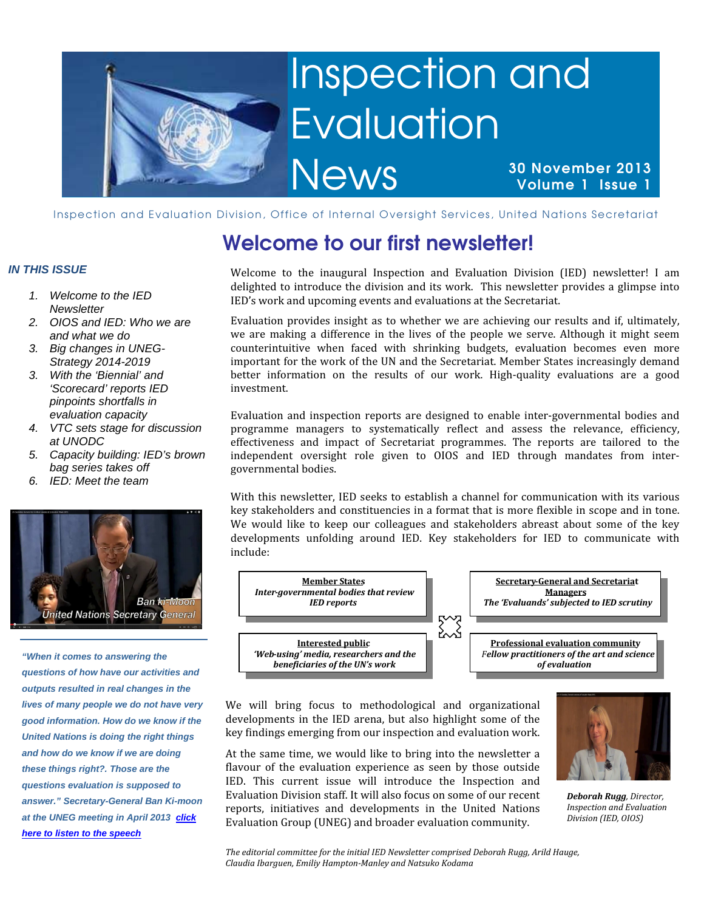

# Inspection and Evaluation

**News** 

30 November 2013 Volume 1 Issue 1

Inspection and Evaluation Division, Office of Internal Oversight Services, United Nations Secretariat

### Welcome to our first newsletter!

Welcome to the inaugural Inspection and Evaluation Division (IED) newsletter! I am delighted to introduce the division and its work. This newsletter provides a glimpse into IED's work and upcoming events and evaluations at the Secretariat.

Evaluation provides insight as to whether we are achieving our results and if, ultimately, we are making a difference in the lives of the people we serve. Although it might seem counterintuitive when faced with shrinking budgets, evaluation becomes even more important for the work of the UN and the Secretariat. Member States increasingly demand better information on the results of our work. High-quality evaluations are a good investment.

Evaluation and inspection reports are designed to enable inter-governmental bodies and programme managers to systematically reflect and assess the relevance, efficiency, effectiveness and impact of Secretariat programmes. The reports are tailored to the independent oversight role given to OIOS and IED through mandates from intergovernmental bodies.

With this newsletter, IED seeks to establish a channel for communication with its various key stakeholders and constituencies in a format that is more flexible in scope and in tone. We would like to keep our colleagues and stakeholders abreast about some of the key developments unfolding around IED. Key stakeholders for IED to communicate with include:



We will bring focus to methodological and organizational developments in the IED arena, but also highlight some of the key findings emerging from our inspection and evaluation work.

At the same time, we would like to bring into the newsletter a flavour of the evaluation experience as seen by those outside IED. This current issue will introduce the Inspection and Evaluation Division staff. It will also focus on some of our recent reports, initiatives and developments in the United Nations Evaluation Group (UNEG) and broader evaluation community.



Deborah Rugg, Director, Inspection and Evaluation Division (IED, OIOS)

### **IN THIS ISSUE**

- 1. Welcome to the IED **Newsletter**
- 2. OIOS and IED: Who we are and what we do
- 3. Big changes in UNEG-Strategy 2014-2019
- 3. With the 'Biennial' and 'Scorecard' reports IED pinpoints shortfalls in evaluation capacity
- 4. VTC sets stage for discussion at UNODC
- 5. Capacity building: IED's brown bag series takes off
- 6. IED: Meet the team



**"When it comes to answering the questions of how have our activities and outputs resulted in real changes in the lives of many people we do not have very good information. How do we know if the United Nations is doing the right things and how do we know if we are doing these things right?. Those are the questions evaluation is supposed to answer." Secretary-General Ban Ki-moon at the UNEG meeting in April 2013 click here to listen to the speech**

> The editorial committee for the initial IED Newsletter comprised Deborah Rugg, Arild Hauge, Claudia Ibarguen, Emiliy Hampton-Manley and Natsuko Kodama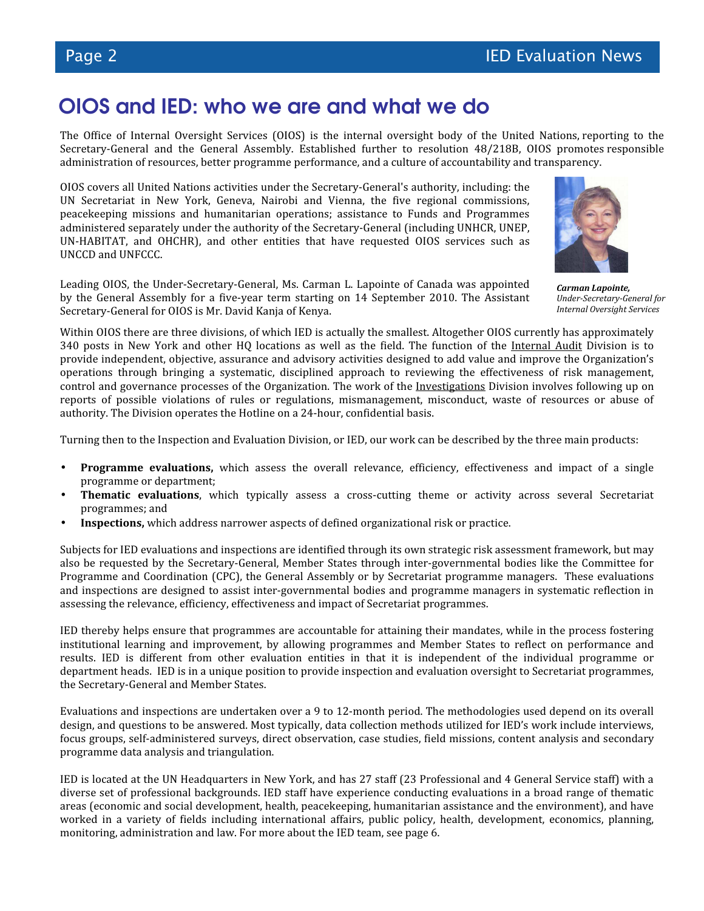### OIOS and IED: who we are and what we do

The Office of Internal Oversight Services (OIOS) is the internal oversight body of the United Nations, reporting to the Secretary-General and the General Assembly. Established further to resolution 48/218B, OIOS promotes responsible administration of resources, better programme performance, and a culture of accountability and transparency.

OIOS covers all United Nations activities under the Secretary-General's authority, including: the UN Secretariat in New York, Geneva, Nairobi and Vienna, the five regional commissions, peacekeeping missions and humanitarian operations; assistance to Funds and Programmes administered separately under the authority of the Secretary-General (including UNHCR, UNEP, UN-HABITAT, and OHCHR), and other entities that have requested OIOS services such as UNCCD and UNFCCC.

Leading OIOS, the Under-Secretary-General, Ms. Carman L. Lapointe of Canada was appointed by the General Assembly for a five-year term starting on 14 September 2010. The Assistant Secretary-General for OIOS is Mr. David Kanja of Kenya.



Carman Lapointe, Under-Secretary-General for Internal Oversight Services

Within OIOS there are three divisions, of which IED is actually the smallest. Altogether OIOS currently has approximately 340 posts in New York and other HQ locations as well as the field. The function of the Internal Audit Division is to provide independent, objective, assurance and advisory activities designed to add value and improve the Organization's operations through bringing a systematic, disciplined approach to reviewing the effectiveness of risk management, control and governance processes of the Organization. The work of the Investigations Division involves following up on reports of possible violations of rules or regulations, mismanagement, misconduct, waste of resources or abuse of authority. The Division operates the Hotline on a 24-hour, confidential basis.

Turning then to the Inspection and Evaluation Division, or IED, our work can be described by the three main products:

- Programme evaluations, which assess the overall relevance, efficiency, effectiveness and impact of a single programme or department;
- Thematic evaluations, which typically assess a cross-cutting theme or activity across several Secretariat programmes; and
- Inspections, which address narrower aspects of defined organizational risk or practice.

Subjects for IED evaluations and inspections are identified through its own strategic risk assessment framework, but may also be requested by the Secretary-General, Member States through inter-governmental bodies like the Committee for Programme and Coordination (CPC), the General Assembly or by Secretariat programme managers. These evaluations and inspections are designed to assist inter-governmental bodies and programme managers in systematic reflection in assessing the relevance, efficiency, effectiveness and impact of Secretariat programmes.

IED thereby helps ensure that programmes are accountable for attaining their mandates, while in the process fostering institutional learning and improvement, by allowing programmes and Member States to reflect on performance and results. IED is different from other evaluation entities in that it is independent of the individual programme or department heads. IED is in a unique position to provide inspection and evaluation oversight to Secretariat programmes, the Secretary-General and Member States.

Evaluations and inspections are undertaken over a 9 to 12-month period. The methodologies used depend on its overall design, and questions to be answered. Most typically, data collection methods utilized for IED's work include interviews, focus groups, self-administered surveys, direct observation, case studies, field missions, content analysis and secondary programme data analysis and triangulation.

IED is located at the UN Headquarters in New York, and has 27 staff (23 Professional and 4 General Service staff) with a diverse set of professional backgrounds. IED staff have experience conducting evaluations in a broad range of thematic areas (economic and social development, health, peacekeeping, humanitarian assistance and the environment), and have worked in a variety of fields including international affairs, public policy, health, development, economics, planning, monitoring, administration and law. For more about the IED team, see page 6.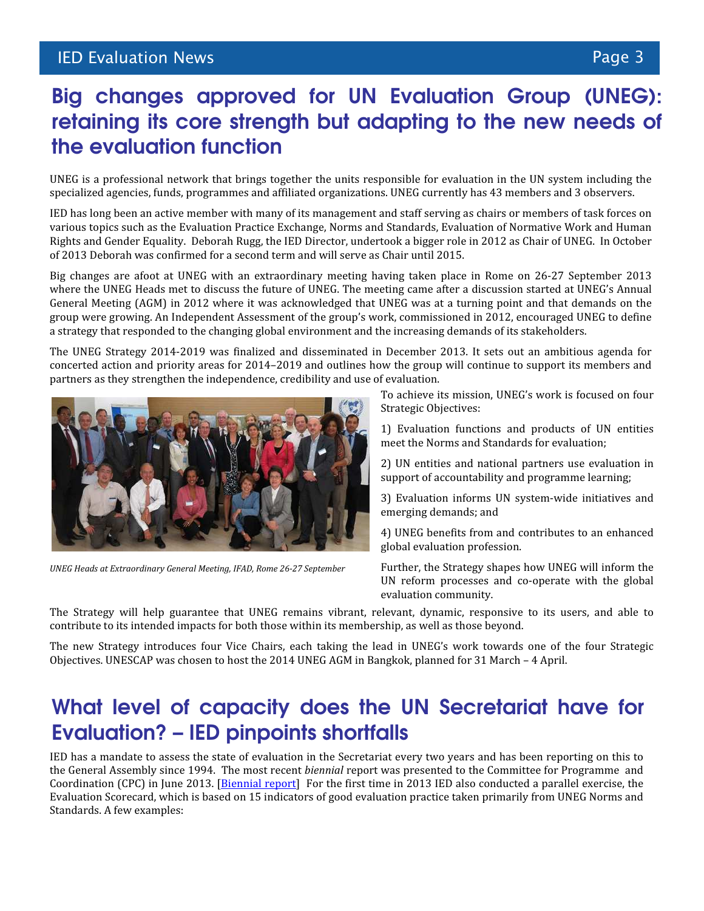### Big changes approved for UN Evaluation Group (UNEG): retaining its core strength but adapting to the new needs of the evaluation function

UNEG is a professional network that brings together the units responsible for evaluation in the UN system including the specialized agencies, funds, programmes and affiliated organizations. UNEG currently has 43 members and 3 observers.

IED has long been an active member with many of its management and staff serving as chairs or members of task forces on various topics such as the Evaluation Practice Exchange, Norms and Standards, Evaluation of Normative Work and Human Rights and Gender Equality. Deborah Rugg, the IED Director, undertook a bigger role in 2012 as Chair of UNEG. In October of 2013 Deborah was confirmed for a second term and will serve as Chair until 2015.

Big changes are afoot at UNEG with an extraordinary meeting having taken place in Rome on 26-27 September 2013 where the UNEG Heads met to discuss the future of UNEG. The meeting came after a discussion started at UNEG's Annual General Meeting (AGM) in 2012 where it was acknowledged that UNEG was at a turning point and that demands on the group were growing. An Independent Assessment of the group's work, commissioned in 2012, encouraged UNEG to define a strategy that responded to the changing global environment and the increasing demands of its stakeholders.

The UNEG Strategy 2014-2019 was finalized and disseminated in December 2013. It sets out an ambitious agenda for concerted action and priority areas for 2014–2019 and outlines how the group will continue to support its members and partners as they strengthen the independence, credibility and use of evaluation.



UNEG Heads at Extraordinary General Meeting, IFAD, Rome 26-27 September

To achieve its mission, UNEG's work is focused on four Strategic Objectives:

1) Evaluation functions and products of UN entities meet the Norms and Standards for evaluation;

2) UN entities and national partners use evaluation in support of accountability and programme learning;

3) Evaluation informs UN system-wide initiatives and emerging demands; and

4) UNEG benefits from and contributes to an enhanced global evaluation profession.

Further, the Strategy shapes how UNEG will inform the UN reform processes and co-operate with the global evaluation community.

The Strategy will help guarantee that UNEG remains vibrant, relevant, dynamic, responsive to its users, and able to contribute to its intended impacts for both those within its membership, as well as those beyond.

The new Strategy introduces four Vice Chairs, each taking the lead in UNEG's work towards one of the four Strategic Objectives. UNESCAP was chosen to host the 2014 UNEG AGM in Bangkok, planned for 31 March – 4 April.

### What level of capacity does the UN Secretariat have for Evaluation? – IED pinpoints shortfalls

IED has a mandate to assess the state of evaluation in the Secretariat every two years and has been reporting on this to the General Assembly since 1994. The most recent biennial report was presented to the Committee for Programme and Coordination (CPC) in June 2013. [Biennial report] For the first time in 2013 IED also conducted a parallel exercise, the Evaluation Scorecard, which is based on 15 indicators of good evaluation practice taken primarily from UNEG Norms and Standards. A few examples: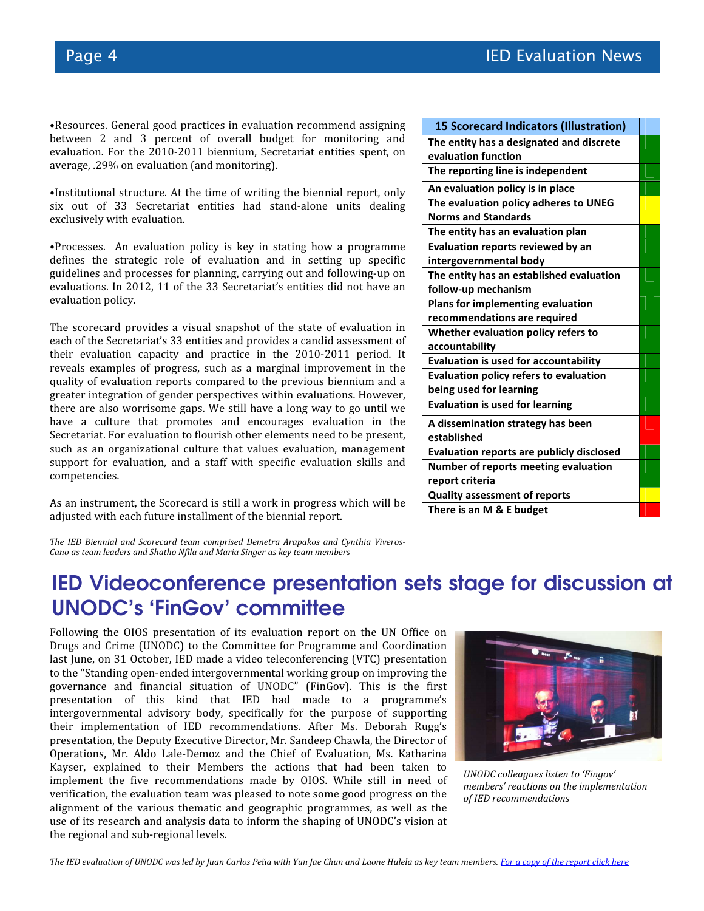•Resources. General good practices in evaluation recommend assigning between 2 and 3 percent of overall budget for monitoring and evaluation. For the 2010-2011 biennium, Secretariat entities spent, on average, .29% on evaluation (and monitoring).

•Institutional structure. At the time of writing the biennial report, only six out of 33 Secretariat entities had stand-alone units dealing exclusively with evaluation.

•Processes. An evaluation policy is key in stating how a programme defines the strategic role of evaluation and in setting up specific guidelines and processes for planning, carrying out and following-up on evaluations. In 2012, 11 of the 33 Secretariat's entities did not have an evaluation policy.

The scorecard provides a visual snapshot of the state of evaluation in each of the Secretariat's 33 entities and provides a candid assessment of their evaluation capacity and practice in the 2010-2011 period. It reveals examples of progress, such as a marginal improvement in the quality of evaluation reports compared to the previous biennium and a greater integration of gender perspectives within evaluations. However, there are also worrisome gaps. We still have a long way to go until we have a culture that promotes and encourages evaluation in the Secretariat. For evaluation to flourish other elements need to be present, such as an organizational culture that values evaluation, management support for evaluation, and a staff with specific evaluation skills and competencies.

As an instrument, the Scorecard is still a work in progress which will be adjusted with each future installment of the biennial report.

| <b>15 Scorecard Indicators (Illustration)</b>    |  |  |
|--------------------------------------------------|--|--|
| The entity has a designated and discrete         |  |  |
| evaluation function                              |  |  |
| The reporting line is independent                |  |  |
| An evaluation policy is in place                 |  |  |
| The evaluation policy adheres to UNEG            |  |  |
| <b>Norms and Standards</b>                       |  |  |
| The entity has an evaluation plan                |  |  |
| <b>Evaluation reports reviewed by an</b>         |  |  |
| intergovernmental body                           |  |  |
| The entity has an established evaluation         |  |  |
| follow-up mechanism                              |  |  |
| <b>Plans for implementing evaluation</b>         |  |  |
| recommendations are required                     |  |  |
| Whether evaluation policy refers to              |  |  |
| accountability                                   |  |  |
| <b>Evaluation is used for accountability</b>     |  |  |
| <b>Evaluation policy refers to evaluation</b>    |  |  |
| being used for learning                          |  |  |
| <b>Evaluation is used for learning</b>           |  |  |
| A dissemination strategy has been                |  |  |
| established                                      |  |  |
| <b>Evaluation reports are publicly disclosed</b> |  |  |
| <b>Number of reports meeting evaluation</b>      |  |  |
| report criteria                                  |  |  |
| <b>Quality assessment of reports</b>             |  |  |
| There is an M & E budget                         |  |  |

The IED Biennial and Scorecard team comprised Demetra Arapakos and Cynthia Viveros-Cano as team leaders and Shatho Nfila and Maria Singer as key team members

### IED Videoconference presentation sets stage for discussion at UNODC's 'FinGov' committee

Following the OIOS presentation of its evaluation report on the UN Office on Drugs and Crime (UNODC) to the Committee for Programme and Coordination last June, on 31 October, IED made a video teleconferencing (VTC) presentation to the "Standing open-ended intergovernmental working group on improving the governance and financial situation of UNODC" (FinGov). This is the first presentation of this kind that IED had made to a programme's intergovernmental advisory body, specifically for the purpose of supporting their implementation of IED recommendations. After Ms. Deborah Rugg's presentation, the Deputy Executive Director, Mr. Sandeep Chawla, the Director of Operations, Mr. Aldo Lale-Demoz and the Chief of Evaluation, Ms. Katharina Kayser, explained to their Members the actions that had been taken to implement the five recommendations made by OIOS. While still in need of verification, the evaluation team was pleased to note some good progress on the alignment of the various thematic and geographic programmes, as well as the use of its research and analysis data to inform the shaping of UNODC's vision at the regional and sub-regional levels.



UNODC colleagues listen to 'Fingov' members' reactions on the implementation of IED recommendations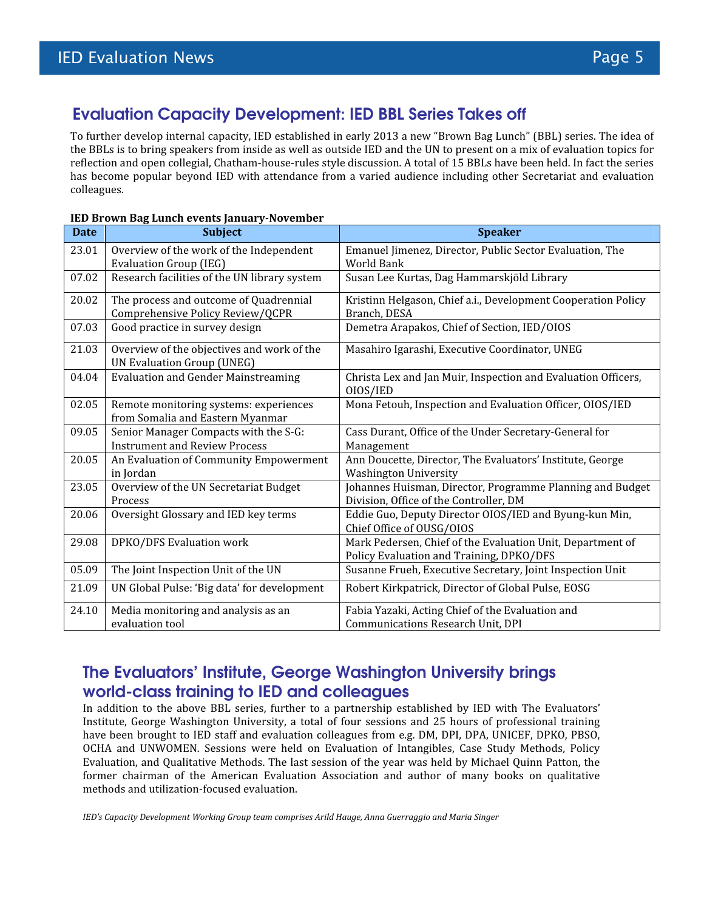### Evaluation Capacity Development: IED BBL Series Takes off

To further develop internal capacity, IED established in early 2013 a new "Brown Bag Lunch" (BBL) series. The idea of the BBLs is to bring speakers from inside as well as outside IED and the UN to present on a mix of evaluation topics for reflection and open collegial, Chatham-house-rules style discussion. A total of 15 BBLs have been held. In fact the series has become popular beyond IED with attendance from a varied audience including other Secretariat and evaluation colleagues.

| <b>Date</b> | <b>Subject</b>                                                                  | <b>Speaker</b>                                                                                         |
|-------------|---------------------------------------------------------------------------------|--------------------------------------------------------------------------------------------------------|
| 23.01       | Overview of the work of the Independent<br><b>Evaluation Group (IEG)</b>        | Emanuel Jimenez, Director, Public Sector Evaluation, The<br><b>World Bank</b>                          |
| 07.02       | Research facilities of the UN library system                                    | Susan Lee Kurtas, Dag Hammarskjöld Library                                                             |
| 20.02       | The process and outcome of Quadrennial<br>Comprehensive Policy Review/QCPR      | Kristinn Helgason, Chief a.i., Development Cooperation Policy<br>Branch, DESA                          |
| 07.03       | Good practice in survey design                                                  | Demetra Arapakos, Chief of Section, IED/OIOS                                                           |
| 21.03       | Overview of the objectives and work of the<br><b>UN Evaluation Group (UNEG)</b> | Masahiro Igarashi, Executive Coordinator, UNEG                                                         |
| 04.04       | <b>Evaluation and Gender Mainstreaming</b>                                      | Christa Lex and Jan Muir, Inspection and Evaluation Officers,<br>OIOS/IED                              |
| 02.05       | Remote monitoring systems: experiences<br>from Somalia and Eastern Myanmar      | Mona Fetouh, Inspection and Evaluation Officer, OIOS/IED                                               |
| 09.05       | Senior Manager Compacts with the S-G:<br><b>Instrument and Review Process</b>   | Cass Durant, Office of the Under Secretary-General for<br>Management                                   |
| 20.05       | An Evaluation of Community Empowerment<br>in Jordan                             | Ann Doucette, Director, The Evaluators' Institute, George<br><b>Washington University</b>              |
| 23.05       | Overview of the UN Secretariat Budget<br>Process                                | Johannes Huisman, Director, Programme Planning and Budget<br>Division, Office of the Controller, DM    |
| 20.06       | Oversight Glossary and IED key terms                                            | Eddie Guo, Deputy Director OIOS/IED and Byung-kun Min,<br>Chief Office of OUSG/OIOS                    |
| 29.08       | DPKO/DFS Evaluation work                                                        | Mark Pedersen, Chief of the Evaluation Unit, Department of<br>Policy Evaluation and Training, DPKO/DFS |
| 05.09       | The Joint Inspection Unit of the UN                                             | Susanne Frueh, Executive Secretary, Joint Inspection Unit                                              |
| 21.09       | UN Global Pulse: 'Big data' for development                                     | Robert Kirkpatrick, Director of Global Pulse, EOSG                                                     |
| 24.10       | Media monitoring and analysis as an<br>evaluation tool                          | Fabia Yazaki, Acting Chief of the Evaluation and<br><b>Communications Research Unit, DPI</b>           |

#### IED Brown Bag Lunch events January-November

### The Evaluators' Institute, George Washington University brings world-class training to IED and colleagues

In addition to the above BBL series, further to a partnership established by IED with The Evaluators' Institute, George Washington University, a total of four sessions and 25 hours of professional training have been brought to IED staff and evaluation colleagues from e.g. DM, DPI, DPA, UNICEF, DPKO, PBSO, OCHA and UNWOMEN. Sessions were held on Evaluation of Intangibles, Case Study Methods, Policy Evaluation, and Qualitative Methods. The last session of the year was held by Michael Quinn Patton, the former chairman of the American Evaluation Association and author of many books on qualitative methods and utilization-focused evaluation.

IED's Capacity Development Working Group team comprises Arild Hauge, Anna Guerraggio and Maria Singer